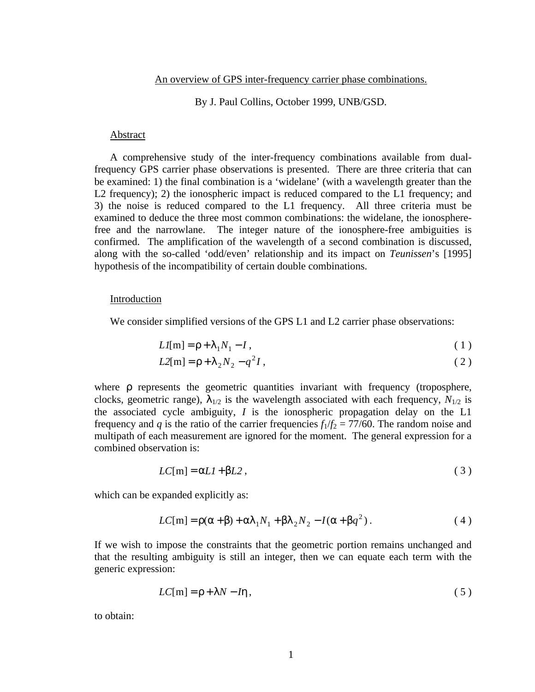### By J. Paul Collins, October 1999, UNB/GSD.

# Abstract

A comprehensive study of the inter-frequency combinations available from dualfrequency GPS carrier phase observations is presented. There are three criteria that can be examined: 1) the final combination is a 'widelane' (with a wavelength greater than the L2 frequency); 2) the ionospheric impact is reduced compared to the L1 frequency; and 3) the noise is reduced compared to the L1 frequency. All three criteria must be examined to deduce the three most common combinations: the widelane, the ionospherefree and the narrowlane. The integer nature of the ionosphere-free ambiguities is confirmed. The amplification of the wavelength of a second combination is discussed, along with the so-called 'odd/even' relationship and its impact on *Teunissen*'s [1995] hypothesis of the incompatibility of certain double combinations.

# Introduction

We consider simplified versions of the GPS L1 and L2 carrier phase observations:

$$
LI[m] = \rho + \lambda_1 N_1 - I \,, \tag{1}
$$

$$
L2[m] = \rho + \lambda_2 N_2 - q^2 I,
$$
\n(2)

where ρ represents the geometric quantities invariant with frequency (troposphere, clocks, geometric range),  $\lambda_{1/2}$  is the wavelength associated with each frequency,  $N_{1/2}$  is the associated cycle ambiguity, *I* is the ionospheric propagation delay on the L1 frequency and *q* is the ratio of the carrier frequencies  $f_1/f_2 = 77/60$ . The random noise and multipath of each measurement are ignored for the moment. The general expression for a combined observation is:

$$
LC[m] = \alpha L l + \beta L 2 \,, \tag{3}
$$

which can be expanded explicitly as:

$$
LC[m] = \rho(\alpha + \beta) + \alpha \lambda_1 N_1 + \beta \lambda_2 N_2 - I(\alpha + \beta q^2).
$$
 (4)

If we wish to impose the constraints that the geometric portion remains unchanged and that the resulting ambiguity is still an integer, then we can equate each term with the generic expression:

$$
LC[m] = \rho + \lambda N - I\eta, \qquad (5)
$$

to obtain: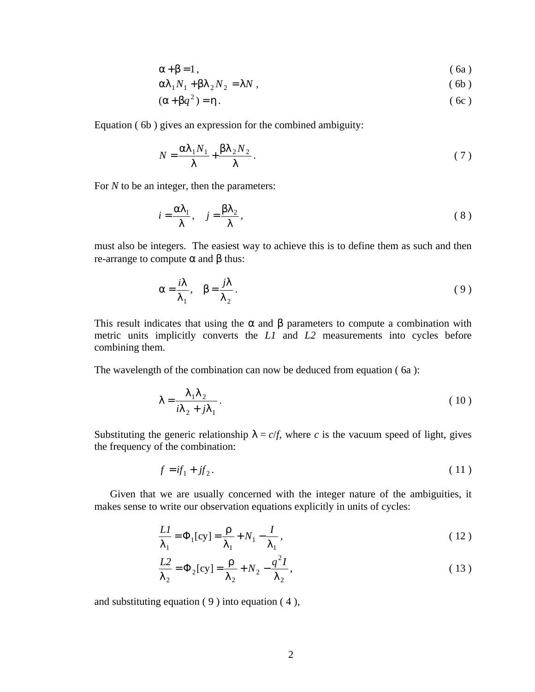$$
\alpha + \beta = 1, \qquad (6a)
$$

$$
\alpha \lambda_1 N_1 + \beta \lambda_2 N_2 = \lambda N \,, \tag{6b}
$$

$$
(\alpha + \beta q^2) = \eta \tag{6c}
$$

Equation ( 6b ) gives an expression for the combined ambiguity:

$$
N = \frac{\alpha \lambda_1 N_1}{\lambda} + \frac{\beta \lambda_2 N_2}{\lambda}.
$$
 (7)

For *N* to be an integer, then the parameters:

$$
i = \frac{\alpha \lambda_1}{\lambda}, \quad j = \frac{\beta \lambda_2}{\lambda}, \tag{8}
$$

must also be integers. The easiest way to achieve this is to define them as such and then re-arrange to compute α and β thus:

$$
\alpha = \frac{i\lambda}{\lambda_1}, \quad \beta = \frac{j\lambda}{\lambda_2}.
$$
\n(9)

This result indicates that using the  $\alpha$  and  $\beta$  parameters to compute a combination with metric units implicitly converts the *L1* and *L2* measurements into cycles before combining them.

The wavelength of the combination can now be deduced from equation ( 6a ):

$$
\lambda = \frac{\lambda_1 \lambda_2}{i\lambda_2 + j\lambda_1}.
$$
 (10)

Substituting the generic relationship  $\lambda = c/f$ , where *c* is the vacuum speed of light, gives the frequency of the combination:

$$
f = if_1 + jf_2. \tag{11}
$$

Given that we are usually concerned with the integer nature of the ambiguities, it makes sense to write our observation equations explicitly in units of cycles:

$$
\frac{LI}{\lambda_1} = \Phi_1[\text{cy}] = \frac{\rho}{\lambda_1} + N_1 - \frac{I}{\lambda_1},\tag{12}
$$

$$
\frac{L2}{\lambda_2} = \Phi_2[\text{cy}] = \frac{\rho}{\lambda_2} + N_2 - \frac{q^2 I}{\lambda_2},
$$
\n(13)

and substituting equation  $(9)$  into equation  $(4)$ ,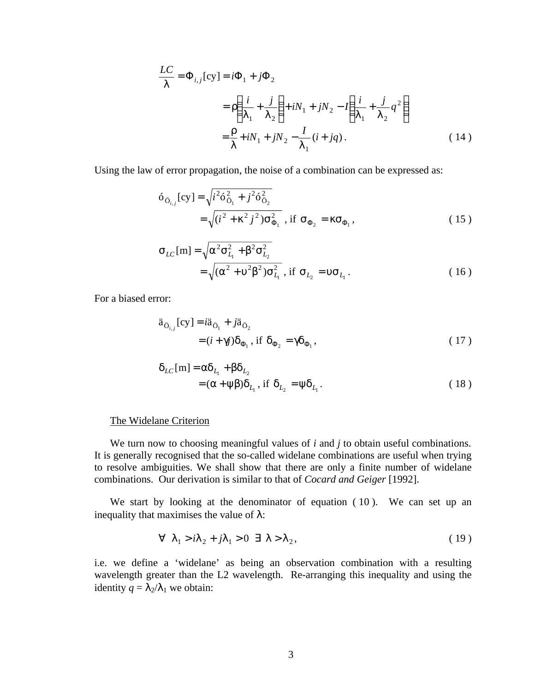$$
\frac{LC}{\lambda} = \Phi_{i,j}[\text{cy}] = i\Phi_1 + j\Phi_2
$$
  
=  $\rho \left( \frac{i}{\lambda_1} + \frac{j}{\lambda_2} \right) + iN_1 + jN_2 - I \left( \frac{i}{\lambda_1} + \frac{j}{\lambda_2} q^2 \right)$   
=  $\frac{\rho}{\lambda} + iN_1 + jN_2 - \frac{I}{\lambda_1} (i + jq).$  (14)

Using the law of error propagation, the noise of a combination can be expressed as:

$$
\delta_{\ddot{\mathbf{O}}_{i,j}}[\text{cy}] = \sqrt{i^2 \hat{\mathbf{O}}_{\ddot{\mathbf{O}}_1}^2 + j^2 \hat{\mathbf{O}}_{\ddot{\mathbf{O}}_2}^2}
$$
\n
$$
= \sqrt{(i^2 + \kappa^2 j^2) \hat{\mathbf{O}}_{\Phi_1}^2}, \text{ if } \hat{\mathbf{O}}_{\Phi_2} = \kappa \hat{\mathbf{O}}_{\Phi_1},
$$
\n(15)

$$
\sigma_{LC}[m] = \sqrt{\alpha^2 \sigma_{L_1}^2 + \beta^2 \sigma_{L_2}^2}
$$
  
=  $\sqrt{(\alpha^2 + \nu^2 \beta^2) \sigma_{L_1}^2}$ , if  $\sigma_{L_2} = \nu \sigma_{L_1}$ . (16)

For a biased error:

$$
\ddot{a}_{\ddot{O}_{i,j}}[cy] = i\ddot{a}_{\ddot{O}_1} + j\ddot{a}_{\ddot{O}_2} \n= (i + \gamma j)\delta_{\Phi_1}, \text{ if } \delta_{\Phi_2} = \gamma \delta_{\Phi_1},
$$
\n(17)

$$
\delta_{LC}[m] = \alpha \delta_{L_1} + \beta \delta_{L_2}
$$
  
=  $(\alpha + \psi \beta) \delta_{L_1}$ , if  $\delta_{L_2} = \psi \delta_{L_1}$ . (18)

# The Widelane Criterion

We turn now to choosing meaningful values of *i* and *j* to obtain useful combinations. It is generally recognised that the so-called widelane combinations are useful when trying to resolve ambiguities. We shall show that there are only a finite number of widelane combinations. Our derivation is similar to that of *Cocard and Geiger* [1992].

We start by looking at the denominator of equation ( 10 ). We can set up an inequality that maximises the value of  $\lambda$ :

$$
\forall \ \lambda_1 > i\lambda_2 + j\lambda_1 > 0 \ \exists \ \lambda > \lambda_2,\tag{19}
$$

i.e. we define a 'widelane' as being an observation combination with a resulting wavelength greater than the L2 wavelength. Re-arranging this inequality and using the identity  $q = \lambda_2/\lambda_1$  we obtain: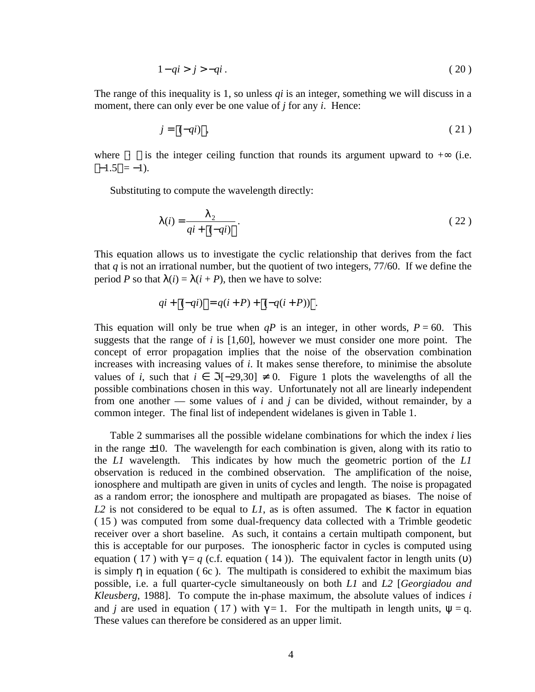$$
1 - qi > j > -qi \tag{20}
$$

The range of this inequality is 1, so unless *qi* is an integer, something we will discuss in a moment, there can only ever be one value of *j* for any *i*. Hence:

$$
j = \left[(-qi)\right],\tag{21}
$$

where  $\lceil \cdot \rceil$  is the integer ceiling function that rounds its argument upward to + $\infty$  (i.e.  $[-1.5] = -1$ ).

Substituting to compute the wavelength directly:

$$
\lambda(i) = \frac{\lambda_2}{qi + \left\lceil (-qi) \right\rceil}.
$$
\n(22)

This equation allows us to investigate the cyclic relationship that derives from the fact that *q* is not an irrational number, but the quotient of two integers, 77/60. If we define the period *P* so that  $\lambda(i) = \lambda(i + P)$ , then we have to solve:

$$
qi + \lceil (-qi) \rceil = q(i + P) + \lceil (-q(i + P)) \rceil.
$$

This equation will only be true when  $qP$  is an integer, in other words,  $P = 60$ . This suggests that the range of *i* is [1,60], however we must consider one more point. The concept of error propagation implies that the noise of the observation combination increases with increasing values of *i*. It makes sense therefore, to minimise the absolute values of *i*, such that  $i \in \Im[-29,30] \neq 0$ . Figure 1 plots the wavelengths of all the possible combinations chosen in this way. Unfortunately not all are linearly independent from one another —– some values of  $i$  and  $j$  can be divided, without remainder, by a common integer. The final list of independent widelanes is given in Table 1.

Table 2 summarises all the possible widelane combinations for which the index *i* lies in the range  $\pm 10$ . The wavelength for each combination is given, along with its ratio to the *L1* wavelength. This indicates by how much the geometric portion of the *L1* observation is reduced in the combined observation. The amplification of the noise, ionosphere and multipath are given in units of cycles and length. The noise is propagated as a random error; the ionosphere and multipath are propagated as biases. The noise of *L2* is not considered to be equal to *L1*, as is often assumed. The κ factor in equation ( 15 ) was computed from some dual-frequency data collected with a Trimble geodetic receiver over a short baseline. As such, it contains a certain multipath component, but this is acceptable for our purposes. The ionospheric factor in cycles is computed using equation ( 17 ) with  $\gamma = q$  (c.f. equation ( 14 )). The equivalent factor in length units (v) is simply  $\eta$  in equation (6c). The multipath is considered to exhibit the maximum bias possible, i.e. a full quarter-cycle simultaneously on both *L1* and *L2* [*Georgiadou and Kleusberg*, 1988]. To compute the in-phase maximum, the absolute values of indices *i* and *j* are used in equation (17) with  $\gamma = 1$ . For the multipath in length units,  $\psi = q$ . These values can therefore be considered as an upper limit.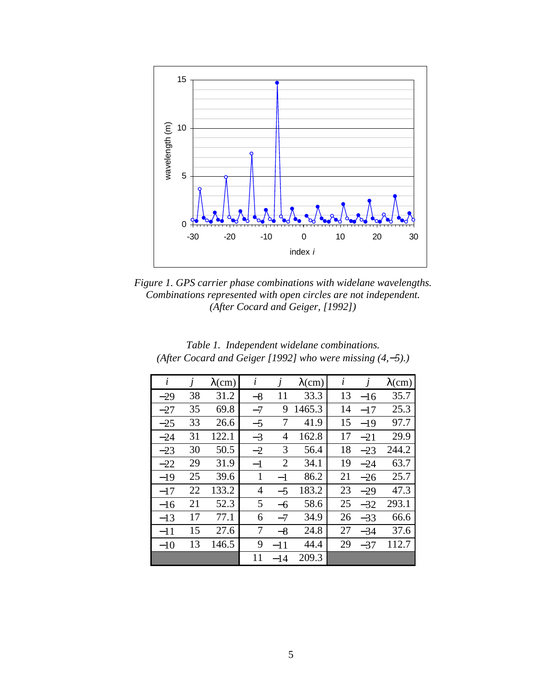

*Figure 1. GPS carrier phase combinations with widelane wavelengths. Combinations represented with open circles are not independent. (After Cocard and Geiger, [1992])*

| i     | $\dot{J}$ | $\lambda$ (cm) | $\dot{i}$      | $\overline{I}$ | $\lambda$ (cm) | i  |       | $\lambda$ (cm) |
|-------|-----------|----------------|----------------|----------------|----------------|----|-------|----------------|
| $-29$ | 38        | 31.2           | $-8$           | 11             | 33.3           | 13 | $-16$ | 35.7           |
| $-27$ | 35        | 69.8           | $-7$           | 9              | 1465.3         | 14 | $-17$ | 25.3           |
| $-25$ | 33        | 26.6           | $-5$           | 7              | 41.9           | 15 | $-19$ | 97.7           |
| $-24$ | 31        | 122.1          | $-3$           | $\overline{4}$ | 162.8          | 17 | $-21$ | 29.9           |
| $-23$ | 30        | 50.5           | $-2$           | 3              | 56.4           | 18 | $-23$ | 244.2          |
| $-22$ | 29        | 31.9           | $-1$           | $\overline{2}$ | 34.1           | 19 | $-24$ | 63.7           |
| $-19$ | 25        | 39.6           | $\mathbf{1}$   | $-1$           | 86.2           | 21 | $-26$ | 25.7           |
| $-17$ | 22        | 133.2          | $\overline{4}$ | $-5$           | 183.2          | 23 | $-29$ | 47.3           |
| $-16$ | 21        | 52.3           | 5              | -6             | 58.6           | 25 | $-32$ | 293.1          |
| $-13$ | 17        | 77.1           | 6              | $-7$           | 34.9           | 26 | $-33$ | 66.6           |
| $-11$ | 15        | 27.6           | 7              | $-8$           | 24.8           | 27 | $-34$ | 37.6           |
| $-10$ | 13        | 146.5          | 9              | $-11$          | 44.4           | 29 | $-37$ | 112.7          |
|       |           |                | 11             | $-14$          | 209.3          |    |       |                |

*Table 1. Independent widelane combinations. (After Cocard and Geiger [1992] who were missing (4,-5).)*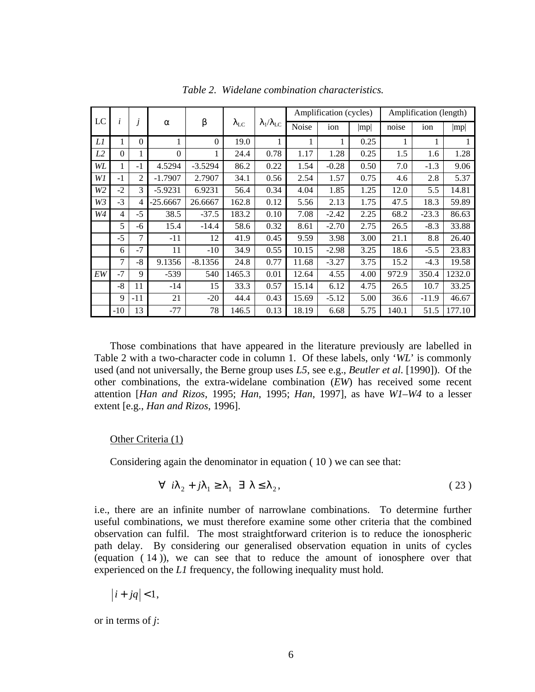|                |          |                |            |           |                    |                                    |       | Amplification (cycles) |      |       | Amplification (length) |        |
|----------------|----------|----------------|------------|-----------|--------------------|------------------------------------|-------|------------------------|------|-------|------------------------|--------|
| LC             | i        |                | $\alpha$   | β         | $\lambda_{\rm LC}$ | $\lambda_{\rm l}/\lambda_{\rm LC}$ | Noise | ion                    | mp   | noise | ion                    | mp     |
| Ll             | 1        | $\Omega$       |            | $\theta$  | 19.0               | 1                                  | 1     |                        | 0.25 | 1     | 1                      |        |
| L2             | $\Omega$ |                | $\theta$   | 1         | 24.4               | 0.78                               | 1.17  | 1.28                   | 0.25 | 1.5   | 1.6                    | 1.28   |
| WL             | 1        | $-1$           | 4.5294     | $-3.5294$ | 86.2               | 0.22                               | 1.54  | $-0.28$                | 0.50 | 7.0   | $-1.3$                 | 9.06   |
| W1             | $-1$     | $\overline{2}$ | $-1.7907$  | 2.7907    | 34.1               | 0.56                               | 2.54  | 1.57                   | 0.75 | 4.6   | 2.8                    | 5.37   |
| W <sub>2</sub> | $-2$     | 3              | $-5.9231$  | 6.9231    | 56.4               | 0.34                               | 4.04  | 1.85                   | 1.25 | 12.0  | 5.5                    | 14.81  |
| $W_3$          | $-3$     | 4              | $-25.6667$ | 26.6667   | 162.8              | 0.12                               | 5.56  | 2.13                   | 1.75 | 47.5  | 18.3                   | 59.89  |
| W4             | 4        | $-5$           | 38.5       | $-37.5$   | 183.2              | 0.10                               | 7.08  | $-2.42$                | 2.25 | 68.2  | $-23.3$                | 86.63  |
|                | 5        | -6             | 15.4       | $-14.4$   | 58.6               | 0.32                               | 8.61  | $-2.70$                | 2.75 | 26.5  | $-8.3$                 | 33.88  |
|                | $-5$     | 7              | $-11$      | 12        | 41.9               | 0.45                               | 9.59  | 3.98                   | 3.00 | 21.1  | 8.8                    | 26.40  |
|                | 6        | $-7$           | 11         | $-10$     | 34.9               | 0.55                               | 10.15 | $-2.98$                | 3.25 | 18.6  | $-5.5$                 | 23.83  |
|                | 7        | $-8$           | 9.1356     | $-8.1356$ | 24.8               | 0.77                               | 11.68 | $-3.27$                | 3.75 | 15.2  | $-4.3$                 | 19.58  |
| EW             | $-7$     | 9              | $-539$     | 540       | 1465.3             | 0.01                               | 12.64 | 4.55                   | 4.00 | 972.9 | 350.4                  | 1232.0 |
|                | $-8$     | 11             | $-14$      | 15        | 33.3               | 0.57                               | 15.14 | 6.12                   | 4.75 | 26.5  | 10.7                   | 33.25  |
|                | 9        | $-11$          | 21         | $-20$     | 44.4               | 0.43                               | 15.69 | $-5.12$                | 5.00 | 36.6  | $-11.9$                | 46.67  |
|                | $-10$    | 13             | $-77$      | 78        | 146.5              | 0.13                               | 18.19 | 6.68                   | 5.75 | 140.1 | 51.5                   | 177.10 |

*Table 2. Widelane combination characteristics.*

Those combinations that have appeared in the literature previously are labelled in Table 2 with a two-character code in column 1. Of these labels, only '*WL*' is commonly used (and not universally, the Berne group uses *L5*, see e.g., *Beutler et al*. [1990]). Of the other combinations, the extra-widelane combination (*EW*) has received some recent attention [*Han and Rizos*, 1995; *Han*, 1995; *Han*, 1997], as have *W1*–*W4* to a lesser extent [e.g., *Han and Rizos*, 1996].

# Other Criteria (1)

Considering again the denominator in equation ( 10 ) we can see that:

$$
\forall i \lambda_2 + j \lambda_1 \ge \lambda_1 \exists \lambda \le \lambda_2,
$$
 (23)

i.e., there are an infinite number of narrowlane combinations. To determine further useful combinations, we must therefore examine some other criteria that the combined observation can fulfil. The most straightforward criterion is to reduce the ionospheric path delay. By considering our generalised observation equation in units of cycles (equation ( 14 )), we can see that to reduce the amount of ionosphere over that experienced on the *L1* frequency, the following inequality must hold.

$$
|i+jq|<1,
$$

or in terms of *j*: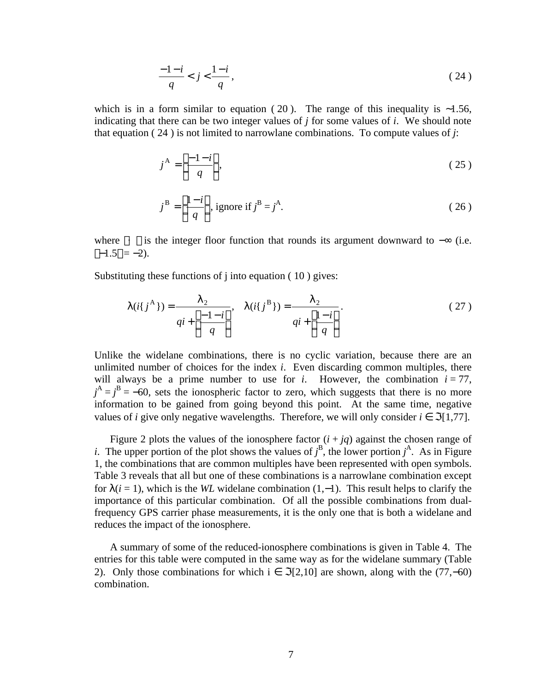$$
\frac{-1-i}{q} < j < \frac{1-i}{q},\tag{24}
$$

which is in a form similar to equation (20). The range of this inequality is ~1.56, indicating that there can be two integer values of *j* for some values of *i*. We should note that equation ( 24 ) is not limited to narrowlane combinations. To compute values of *j*:

$$
j^{\mathbf{A}} = \left[ \frac{-1 - i}{q} \right],\tag{25}
$$

$$
j^B = \left\lfloor \frac{1-i}{q} \right\rfloor, \text{ ignore if } j^B = j^A. \tag{26}
$$

where  $\lfloor \cdot \rfloor$  is the integer floor function that rounds its argument downward to  $-\infty$  (i.e.  $|-1.5| = -2$ ).

Substituting these functions of j into equation (10) gives:

$$
\lambda(i\{j^{\mathbf{A}}\}) = \frac{\lambda_2}{qi + \left[\frac{-1 - i}{q}\right]}, \quad \lambda(i\{j^{\mathbf{B}}\}) = \frac{\lambda_2}{qi + \left[\frac{1 - i}{q}\right]}.
$$
\n(27)

Unlike the widelane combinations, there is no cyclic variation, because there are an unlimited number of choices for the index *i*. Even discarding common multiples, there will always be a prime number to use for  $i$ . However, the combination  $i = 77$ ,  $j^A = j^B = -60$ , sets the ionospheric factor to zero, which suggests that there is no more information to be gained from going beyond this point. At the same time, negative values of *i* give only negative wavelengths. Therefore, we will only consider  $i \in \mathcal{I}[1,77]$ .

Figure 2 plots the values of the ionosphere factor  $(i + jq)$  against the chosen range of *i*. The upper portion of the plot shows the values of  $j^B$ , the lower portion  $j^A$ . As in Figure 1, the combinations that are common multiples have been represented with open symbols. Table 3 reveals that all but one of these combinations is a narrowlane combination except for  $\lambda(i = 1)$ , which is the *WL* widelane combination (1,–1). This result helps to clarify the importance of this particular combination. Of all the possible combinations from dualfrequency GPS carrier phase measurements, it is the only one that is both a widelane and reduces the impact of the ionosphere.

A summary of some of the reduced-ionosphere combinations is given in Table 4. The entries for this table were computed in the same way as for the widelane summary (Table 2). Only those combinations for which  $i \in \Im[2,10]$  are shown, along with the (77,–60) combination.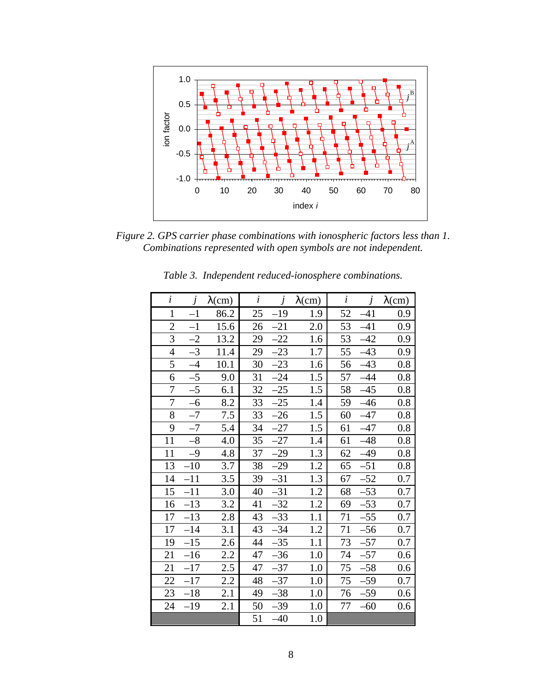

*Figure 2. GPS carrier phase combinations with ionospheric factors less than 1. Combinations represented with open symbols are not independent.*

| $\overline{i}$   | $\dot{J}$ | $\lambda$ (cm) | $\dot{i}$ | $\dot{J}$ | $\lambda$ (cm) | $\dot{i}$ | $\dot{J}$ | $\lambda$ (cm) |
|------------------|-----------|----------------|-----------|-----------|----------------|-----------|-----------|----------------|
| $\mathbf{1}$     | $-1$      | 86.2           | 25        | $-19$     | 1.9            | 52        | $-41$     | 0.9            |
| $\overline{2}$   | $-1$      | 15.6           | 26        | $-21$     | 2.0            | 53        | $-41$     | 0.9            |
| $\overline{3}$   | $-2$      | 13.2           | 29        | $-22$     | 1.6            | 53        | $-42$     | 0.9            |
| $\overline{4}$   | $-3$      | 11.4           | 29        | $-23$     | 1.7            | 55        | $-43$     | 0.9            |
| 5                | $-4$      | 10.1           | 30        | $-23$     | 1.6            | 56        | $-43$     | 0.8            |
| 6                | $-5$      | 9.0            | 31        | $-24$     | 1.5            | 57        | $-44$     | 0.8            |
| $\overline{7}$   | $-5$      | 6.1            | 32        | $-25$     | 1.5            | 58        | $-45$     | 0.8            |
| $\boldsymbol{7}$ | $-6$      | 8.2            | 33        | $-25$     | 1.4            | 59        | $-46$     | 0.8            |
| 8                | $-7$      | 7.5            | 33        | $-26$     | 1.5            | 60        | $-47$     | 0.8            |
| 9                | $-7$      | 5.4            | 34        | $-27$     | 1.5            | 61        | $-47$     | 0.8            |
| 11               | $-8$      | 4.0            | 35        | $-27$     | 1.4            | 61        | $-48$     | 0.8            |
| 11               | $-9$      | 4.8            | 37        | $-29$     | 1.3            | 62        | $-49$     | 0.8            |
| 13               | $-10$     | 3.7            | 38        | $-29$     | 1.2            | 65        | $-51$     | 0.8            |
| 14               | $-11$     | 3.5            | 39        | $-31$     | 1.3            | 67        | $-52$     | 0.7            |
| 15               | $-11$     | 3.0            | 40        | $-31$     | 1.2            | 68        | $-53$     | 0.7            |
| 16               | $-13$     | 3.2            | 41        | $-32$     | 1.2            | 69        | $-53$     | 0.7            |
| 17               | $-13$     | 2.8            | 43        | $-33$     | 1.1            | 71        | $-55$     | 0.7            |
| 17               | $-14$     | 3.1            | 43        | $-34$     | 1.2            | 71        | $-56$     | 0.7            |
| 19               | $-15$     | 2.6            | 44        | $-35$     | 1.1            | 73        | $-57$     | 0.7            |
| 21               | $-16$     | 2.2            | 47        | $-36$     | 1.0            | 74        | $-57$     | 0.6            |
| 21               | $-17$     | 2.5            | 47        | $-37$     | 1.0            | 75        | $-58$     | 0.6            |
| 22               | $-17$     | 2.2            | 48        | $-37$     | 1.0            | 75        | $-59$     | 0.7            |
| 23               | $-18$     | 2.1            | 49        | $-38$     | 1.0            | 76        | $-59$     | 0.6            |
| 24               | $-19$     | 2.1            | 50        | $-39$     | 1.0            | 77        | $-60$     | 0.6            |
|                  |           |                | 51        | $-40$     | 1.0            |           |           |                |

*Table 3. Independent reduced-ionosphere combinations.*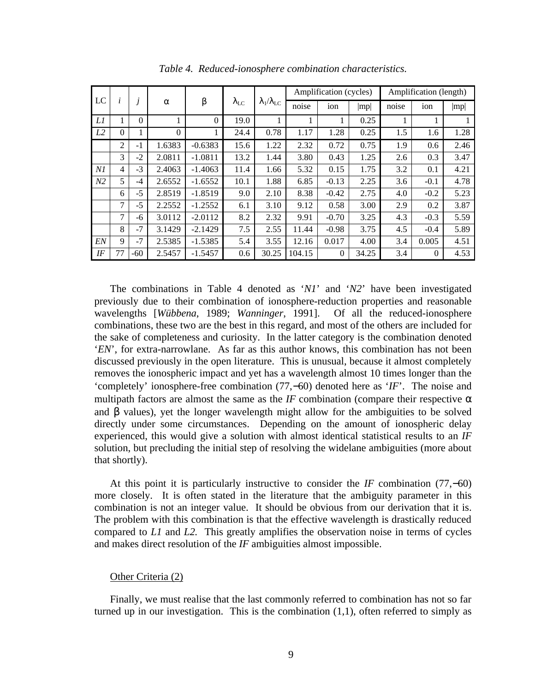|                |                |          |          |                |                    |                                    |        | Amplification (cycles) |       |       | Amplification (length) |      |
|----------------|----------------|----------|----------|----------------|--------------------|------------------------------------|--------|------------------------|-------|-------|------------------------|------|
| LC             | i              |          | $\alpha$ | β              | $\lambda_{\rm LC}$ | $\lambda_{\rm l}/\lambda_{\rm LC}$ | noise  | ion                    | mp    | noise | ion                    | mp   |
| Ll             | 1              | $\Omega$ |          | $\overline{0}$ | 19.0               |                                    |        |                        | 0.25  |       | 1                      |      |
| L <sub>2</sub> | $\overline{0}$ |          | $\theta$ |                | 24.4               | 0.78                               | 1.17   | 1.28                   | 0.25  | 1.5   | 1.6                    | 1.28 |
|                | $\overline{2}$ | $-1$     | 1.6383   | $-0.6383$      | 15.6               | 1.22                               | 2.32   | 0.72                   | 0.75  | 1.9   | 0.6                    | 2.46 |
|                | 3              | $-2$     | 2.0811   | $-1.0811$      | 13.2               | 1.44                               | 3.80   | 0.43                   | 1.25  | 2.6   | 0.3                    | 3.47 |
| NI             | $\overline{4}$ | $-3$     | 2.4063   | $-1.4063$      | 11.4               | 1.66                               | 5.32   | 0.15                   | 1.75  | 3.2   | 0.1                    | 4.21 |
| N <sub>2</sub> | 5              | $-4$     | 2.6552   | $-1.6552$      | 10.1               | 1.88                               | 6.85   | $-0.13$                | 2.25  | 3.6   | $-0.1$                 | 4.78 |
|                | 6              | $-5$     | 2.8519   | $-1.8519$      | 9.0                | 2.10                               | 8.38   | $-0.42$                | 2.75  | 4.0   | $-0.2$                 | 5.23 |
|                | 7              | $-5$     | 2.2552   | $-1.2552$      | 6.1                | 3.10                               | 9.12   | 0.58                   | 3.00  | 2.9   | 0.2                    | 3.87 |
|                | 7              | -6       | 3.0112   | $-2.0112$      | 8.2                | 2.32                               | 9.91   | $-0.70$                | 3.25  | 4.3   | $-0.3$                 | 5.59 |
|                | 8              | $-7$     | 3.1429   | $-2.1429$      | 7.5                | 2.55                               | 11.44  | $-0.98$                | 3.75  | 4.5   | $-0.4$                 | 5.89 |
| EN             | 9              | $-7$     | 2.5385   | $-1.5385$      | 5.4                | 3.55                               | 12.16  | 0.017                  | 4.00  | 3.4   | 0.005                  | 4.51 |
| IF             | 77             | $-60$    | 2.5457   | $-1.5457$      | 0.6                | 30.25                              | 104.15 | $\Omega$               | 34.25 | 3.4   | $\overline{0}$         | 4.53 |

*Table 4. Reduced-ionosphere combination characteristics.*

The combinations in Table 4 denoted as '*N1*' and '*N2*' have been investigated previously due to their combination of ionosphere-reduction properties and reasonable wavelengths [*Wübbena*, 1989; *Wanninger*, 1991]. Of all the reduced-ionosphere combinations, these two are the best in this regard, and most of the others are included for the sake of completeness and curiosity. In the latter category is the combination denoted '*EN*', for extra-narrowlane. As far as this author knows, this combination has not been discussed previously in the open literature. This is unusual, because it almost completely removes the ionospheric impact and yet has a wavelength almost 10 times longer than the 'completely' ionosphere-free combination (77,−60) denoted here as '*IF*'. The noise and multipath factors are almost the same as the *IF* combination (compare their respective  $\alpha$ and  $\beta$  values), yet the longer wavelength might allow for the ambiguities to be solved directly under some circumstances. Depending on the amount of ionospheric delay experienced, this would give a solution with almost identical statistical results to an *IF* solution, but precluding the initial step of resolving the widelane ambiguities (more about that shortly).

At this point it is particularly instructive to consider the *IF* combination (77,−60) more closely. It is often stated in the literature that the ambiguity parameter in this combination is not an integer value. It should be obvious from our derivation that it is. The problem with this combination is that the effective wavelength is drastically reduced compared to *L1* and *L2.* This greatly amplifies the observation noise in terms of cycles and makes direct resolution of the *IF* ambiguities almost impossible.

#### Other Criteria (2)

Finally, we must realise that the last commonly referred to combination has not so far turned up in our investigation. This is the combination  $(1,1)$ , often referred to simply as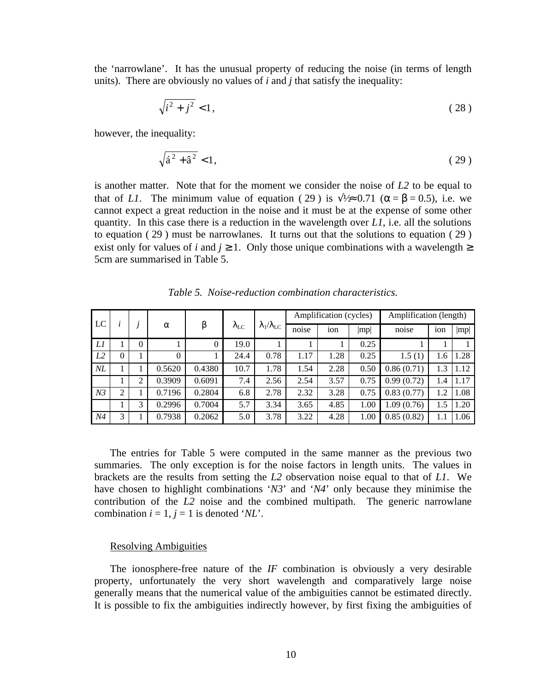the 'narrowlane'. It has the unusual property of reducing the noise (in terms of length units). There are obviously no values of *i* and *j* that satisfy the inequality:

$$
\sqrt{i^2 + j^2} < 1,\tag{28}
$$

however, the inequality:

$$
\sqrt{\hat{a}^2 + \hat{a}^2} < 1,\tag{29}
$$

is another matter. Note that for the moment we consider the noise of *L2* to be equal to that of *L1*. The minimum value of equation (29) is  $\sqrt{2} \approx 0.71$  ( $\alpha = \beta = 0.5$ ), i.e. we cannot expect a great reduction in the noise and it must be at the expense of some other quantity. In this case there is a reduction in the wavelength over *L1*, i.e. all the solutions to equation ( 29 ) must be narrowlanes. It turns out that the solutions to equation ( 29 ) exist only for values of *i* and  $j \ge 1$ . Only those unique combinations with a wavelength  $\ge$ 5cm are summarised in Table 5.

| LC             |                |          |          |                | $\lambda_{\rm LC}$ |                              |       | Amplification (cycles) |      | Amplification (length) |     |      |  |
|----------------|----------------|----------|----------|----------------|--------------------|------------------------------|-------|------------------------|------|------------------------|-----|------|--|
|                |                |          | $\alpha$ | β              |                    | $\lambda_1/\lambda_{\rm LC}$ | noise | ion                    | mp   | noise                  | ion | mp   |  |
| Ll             |                | $\theta$ |          | $\overline{0}$ | 19.0               |                              |       |                        | 0.25 |                        |     |      |  |
| L <sub>2</sub> | $\overline{0}$ |          | $\theta$ |                | 24.4               | 0.78                         | 1.17  | 1.28                   | 0.25 | 1.5(1)                 | 1.6 | 1.28 |  |
| $N\!L$         |                |          | 0.5620   | 0.4380         | 10.7               | 1.78                         | 1.54  | 2.28                   | 0.50 | 0.86(0.71)             | 1.3 | 1.12 |  |
|                |                | ↑        | 0.3909   | 0.6091         | 7.4                | 2.56                         | 2.54  | 3.57                   | 0.75 | 0.99(0.72)             | 1.4 | 1.17 |  |
| N <sub>3</sub> | $\overline{2}$ |          | 0.7196   | 0.2804         | 6.8                | 2.78                         | 2.32  | 3.28                   | 0.75 | 0.83(0.77)             | 1.2 | 1.08 |  |
|                |                | 3        | 0.2996   | 0.7004         | 5.7                | 3.34                         | 3.65  | 4.85                   | 1.00 | 1.09(0.76)             | 1.5 | 1.20 |  |
| N4             | 3              |          | 0.7938   | 0.2062         | 5.0                | 3.78                         | 3.22  | 4.28                   | 1.00 | 0.85(0.82)             |     | 1.06 |  |

*Table 5. Noise-reduction combination characteristics.*

The entries for Table 5 were computed in the same manner as the previous two summaries. The only exception is for the noise factors in length units. The values in brackets are the results from setting the *L2* observation noise equal to that of *L1*. We have chosen to highlight combinations '*N3*' and '*N4*' only because they minimise the contribution of the *L2* noise and the combined multipath. The generic narrowlane combination  $i = 1$ ,  $j = 1$  is denoted '*NL*'.

#### Resolving Ambiguities

The ionosphere-free nature of the *IF* combination is obviously a very desirable property, unfortunately the very short wavelength and comparatively large noise generally means that the numerical value of the ambiguities cannot be estimated directly. It is possible to fix the ambiguities indirectly however, by first fixing the ambiguities of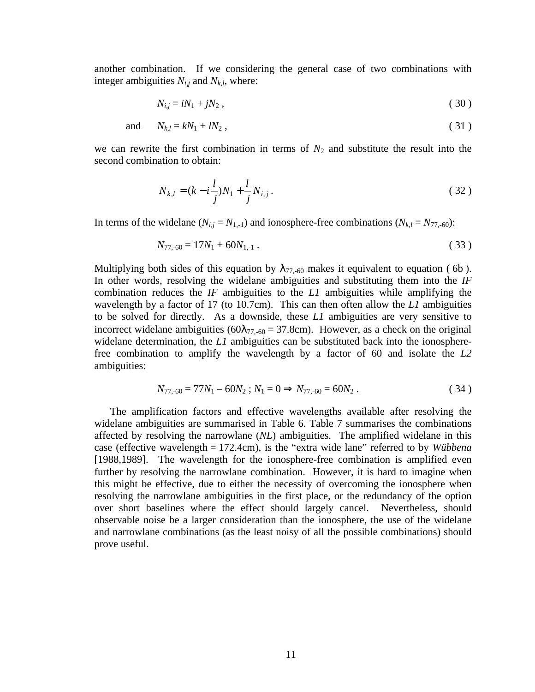another combination. If we considering the general case of two combinations with integer ambiguities  $N_{i,j}$  and  $N_{k,l}$ , where:

$$
N_{i,j} = iN_1 + jN_2 \,,\tag{30}
$$

$$
\text{and} \qquad N_{k,l} = kN_1 + lN_2 \,, \tag{31}
$$

we can rewrite the first combination in terms of  $N_2$  and substitute the result into the second combination to obtain:

$$
N_{k,l} = (k - i\frac{l}{j})N_1 + \frac{l}{j}N_{i,j}.
$$
\n(32)

In terms of the widelane  $(N_{i,j} = N_{1,-1})$  and ionosphere-free combinations  $(N_{k,l} = N_{77,-60})$ :

$$
N_{77,-60} = 17N_1 + 60N_{1,-1} \tag{33}
$$

Multiplying both sides of this equation by  $\lambda_{77,-60}$  makes it equivalent to equation (6b). In other words, resolving the widelane ambiguities and substituting them into the *IF* combination reduces the *IF* ambiguities to the *L1* ambiguities while amplifying the wavelength by a factor of 17 (to 10.7cm). This can then often allow the *L1* ambiguities to be solved for directly. As a downside, these *L1* ambiguities are very sensitive to incorrect widelane ambiguities ( $60\lambda_{77,-60} = 37.8$ cm). However, as a check on the original widelane determination, the *L1* ambiguities can be substituted back into the ionospherefree combination to amplify the wavelength by a factor of 60 and isolate the *L2* ambiguities:

$$
N_{77,-60} = 77N_1 - 60N_2 ; N_1 = 0 \Rightarrow N_{77,-60} = 60N_2 .
$$
 (34)

The amplification factors and effective wavelengths available after resolving the widelane ambiguities are summarised in Table 6. Table 7 summarises the combinations affected by resolving the narrowlane (*NL*) ambiguities. The amplified widelane in this case (effective wavelength = 172.4cm), is the "extra wide lane" referred to by *Wübbena* [1988,1989]. The wavelength for the ionosphere-free combination is amplified even further by resolving the narrowlane combination. However, it is hard to imagine when this might be effective, due to either the necessity of overcoming the ionosphere when resolving the narrowlane ambiguities in the first place, or the redundancy of the option over short baselines where the effect should largely cancel. Nevertheless, should observable noise be a larger consideration than the ionosphere, the use of the widelane and narrowlane combinations (as the least noisy of all the possible combinations) should prove useful.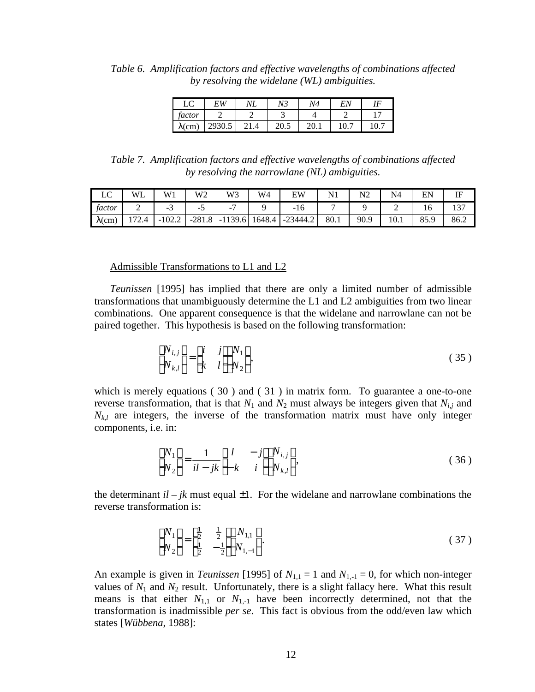*Table 6. Amplification factors and effective wavelengths of combinations affected by resolving the widelane (WL) ambiguities.*

|                | EW     | 77 N | N3   | N4 | EΛ   |      |
|----------------|--------|------|------|----|------|------|
| factor         |        |      |      |    |      |      |
| $\lambda$ (cm) | 2930.5 |      | 20.5 |    | 10.7 | 10.7 |

*Table 7. Amplification factors and effective wavelengths of combinations affected by resolving the narrowlane (NL) ambiguities.*

| $\sqrt{ }$<br>∸∽ | WL    | W1       | W2       | W3        | W4     | FW       |      | $NT^{\sim}$ | N4   | EN   | IF   |
|------------------|-------|----------|----------|-----------|--------|----------|------|-------------|------|------|------|
| factor           | ∼     | -        | -        | -         |        | 10<br>-  |      |             | -    |      |      |
| $\lambda$ (cm)   | 172.4 | $-102.2$ | $-281.8$ | $-1139.6$ | 1648.4 | -23444.2 | 80.1 | 90.9        | 10.1 | 85.9 | 86.2 |

# Admissible Transformations to L1 and L2

*Teunissen* [1995] has implied that there are only a limited number of admissible transformations that unambiguously determine the L1 and L2 ambiguities from two linear combinations. One apparent consequence is that the widelane and narrowlane can not be paired together. This hypothesis is based on the following transformation:

$$
\begin{bmatrix} N_{i,j} \\ N_{k,l} \end{bmatrix} = \begin{bmatrix} i & j \\ k & l \end{bmatrix} \begin{bmatrix} N_1 \\ N_2 \end{bmatrix},
$$
\n(35)

which is merely equations (30) and (31) in matrix form. To guarantee a one-to-one reverse transformation, that is that  $N_1$  and  $N_2$  must always be integers given that  $N_{i,j}$  and  $N_{k,l}$  are integers, the inverse of the transformation matrix must have only integer components, i.e. in:

$$
\begin{bmatrix} N_1 \\ N_2 \end{bmatrix} = \frac{1}{il - jk} \begin{bmatrix} l & -j \\ -k & i \end{bmatrix} \begin{bmatrix} N_{i,j} \\ N_{k,l} \end{bmatrix},
$$
\n(36)

the determinant  $il - jk$  must equal  $\pm 1$ . For the widelane and narrowlane combinations the reverse transformation is:

$$
\begin{bmatrix} N_1 \\ N_2 \end{bmatrix} = \begin{bmatrix} \frac{1}{2} & \frac{1}{2} \\ \frac{1}{2} & -\frac{1}{2} \end{bmatrix} \begin{bmatrix} N_{1,1} \\ N_{1,-1} \end{bmatrix} .
$$
 (37)

An example is given in *Teunissen* [1995] of  $N_{1,1} = 1$  and  $N_{1,-1} = 0$ , for which non-integer values of  $N_1$  and  $N_2$  result. Unfortunately, there is a slight fallacy here. What this result means is that either  $N_{1,1}$  or  $N_{1,-1}$  have been incorrectly determined, not that the transformation is inadmissible *per se*. This fact is obvious from the odd/even law which states [*Wübbena*, 1988]: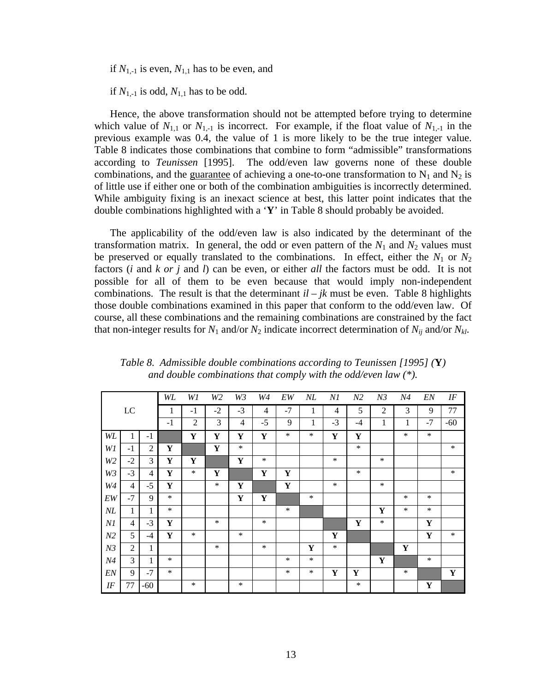if  $N_{1,-1}$  is even,  $N_{1,1}$  has to be even, and

if  $N_{1,-1}$  is odd,  $N_{1,1}$  has to be odd.

Hence, the above transformation should not be attempted before trying to determine which value of  $N_{1,1}$  or  $N_{1,-1}$  is incorrect. For example, if the float value of  $N_{1,-1}$  in the previous example was 0.4, the value of 1 is more likely to be the true integer value. Table 8 indicates those combinations that combine to form "admissible" transformations according to *Teunissen* [1995]. The odd/even law governs none of these double combinations, and the guarantee of achieving a one-to-one transformation to  $N_1$  and  $N_2$  is of little use if either one or both of the combination ambiguities is incorrectly determined. While ambiguity fixing is an inexact science at best, this latter point indicates that the double combinations highlighted with a '**Y**' in Table 8 should probably be avoided.

The applicability of the odd/even law is also indicated by the determinant of the transformation matrix. In general, the odd or even pattern of the  $N_1$  and  $N_2$  values must be preserved or equally translated to the combinations. In effect, either the  $N_1$  or  $N_2$ factors (*i* and *k or j* and *l*) can be even, or either *all* the factors must be odd. It is not possible for all of them to be even because that would imply non-independent combinations. The result is that the determinant  $il - jk$  must be even. Table 8 highlights those double combinations examined in this paper that conform to the odd/even law. Of course, all these combinations and the remaining combinations are constrained by the fact that non-integer results for  $N_1$  and/or  $N_2$  indicate incorrect determination of  $N_{ij}$  and/or  $N_{kl}$ .

|                |                |                | WL        | W1             | W2     | W3          | W4             | ${\cal E}{\cal W}$ | $N\!L$ | N1             | N <sub>2</sub> | N3             | N4     | ${\it EN}$  | $I\!F$      |
|----------------|----------------|----------------|-----------|----------------|--------|-------------|----------------|--------------------|--------|----------------|----------------|----------------|--------|-------------|-------------|
|                | ${\rm LC}$     |                | 1         | $-1$           | $-2$   | $-3$        | $\overline{4}$ | $-7$               | 1      | $\overline{4}$ | 5              | $\overline{2}$ | 3      | 9           | 77          |
|                |                |                | $-1$      | $\overline{2}$ | 3      | 4           | $-5$           | 9                  | 1      | $-3$           | $-4$           | 1              | 1      | $-7$        | $-60$       |
| WL             | 1              | $-1$           |           | Y              | Y      | Y           | Y              | $\ast$             | $\ast$ | Y              | Y              |                | $\ast$ | $\ast$      |             |
| W1             | $-1$           | $\overline{2}$ | Y         |                | Y      | $\ast$      |                |                    |        |                | $\ast$         |                |        |             | $\ast$      |
| W <sub>2</sub> | $-2$           | 3              | Y         | Y              |        | $\mathbf Y$ | $\ast$         |                    |        | $\ast$         |                | $\ast$         |        |             |             |
| W3             | $-3$           | $\overline{4}$ | Y         | $\ast$         | Y      |             | Y              | Y                  |        |                | $\ast$         |                |        |             | $\ast$      |
| $W\!4$         | $\overline{4}$ | $-5$           | ${\bf Y}$ |                | $\ast$ | Y           |                | $\mathbf Y$        |        | $\ast$         |                | $\ast$         |        |             |             |
| EW             | $-7$           | 9              | $\ast$    |                |        | $\mathbf Y$ | Y              |                    | $\ast$ |                |                |                | $\ast$ | $\ast$      |             |
| $N\!L$         | 1              | 1              | $\ast$    |                |        |             |                | $\ast$             |        |                |                | Y              | $\ast$ | $\ast$      |             |
| N1             | 4              | $-3$           | Y         |                | $\ast$ |             | $\ast$         |                    |        |                | Y              | $\ast$         |        | Y           |             |
| N <sub>2</sub> | 5              | $-4$           | Y         | $\ast$         |        | $\ast$      |                |                    |        | Y              |                |                |        | $\mathbf Y$ | $\ast$      |
| N3             | $\overline{2}$ | 1              |           |                | $\ast$ |             | $\ast$         |                    | Y      | $\ast$         |                |                | Y      |             |             |
| N <sub>4</sub> | 3              | 1              | $\ast$    |                |        |             |                | $\ast$             | $\ast$ |                |                | Y              |        | $\ast$      |             |
| EN             | 9              | $-7$           | $\ast$    |                |        |             |                | $\ast$             | $\ast$ | Y              | Y              |                | $\ast$ |             | $\mathbf Y$ |
| IF             | 77             | $-60$          |           | $\ast$         |        | $\ast$      |                |                    |        |                | $\ast$         |                |        | Y           |             |

*Table 8. Admissible double combinations according to Teunissen [1995] (***Y***) and double combinations that comply with the odd/even law (\*).*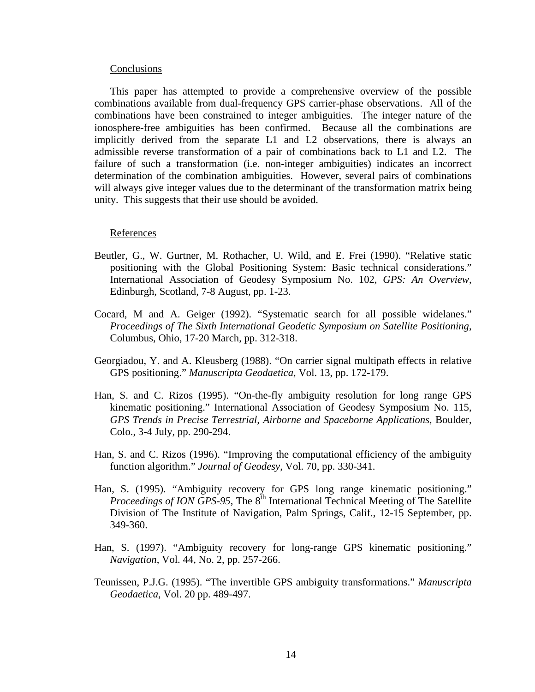#### **Conclusions**

This paper has attempted to provide a comprehensive overview of the possible combinations available from dual-frequency GPS carrier-phase observations. All of the combinations have been constrained to integer ambiguities. The integer nature of the ionosphere-free ambiguities has been confirmed. Because all the combinations are implicitly derived from the separate L1 and L2 observations, there is always an admissible reverse transformation of a pair of combinations back to L1 and L2. The failure of such a transformation (i.e. non-integer ambiguities) indicates an incorrect determination of the combination ambiguities. However, several pairs of combinations will always give integer values due to the determinant of the transformation matrix being unity. This suggests that their use should be avoided.

# References

- Beutler, G., W. Gurtner, M. Rothacher, U. Wild, and E. Frei (1990). "Relative static positioning with the Global Positioning System: Basic technical considerations." International Association of Geodesy Symposium No. 102, *GPS: An Overview*, Edinburgh, Scotland, 7-8 August, pp. 1-23.
- Cocard, M and A. Geiger (1992). "Systematic search for all possible widelanes." *Proceedings of The Sixth International Geodetic Symposium on Satellite Positioning*, Columbus, Ohio, 17-20 March, pp. 312-318.
- Georgiadou, Y. and A. Kleusberg (1988). "On carrier signal multipath effects in relative GPS positioning." *Manuscripta Geodaetica*, Vol. 13, pp. 172-179.
- Han, S. and C. Rizos (1995). "On-the-fly ambiguity resolution for long range GPS kinematic positioning." International Association of Geodesy Symposium No. 115, *GPS Trends in Precise Terrestrial, Airborne and Spaceborne Applications*, Boulder, Colo., 3-4 July, pp. 290-294.
- Han, S. and C. Rizos (1996). "Improving the computational efficiency of the ambiguity function algorithm." *Journal of Geodesy*, Vol. 70, pp. 330-341.
- Han, S. (1995). "Ambiguity recovery for GPS long range kinematic positioning." *Proceedings of ION GPS-95*, The 8<sup>th</sup> International Technical Meeting of The Satellite Division of The Institute of Navigation, Palm Springs, Calif., 12-15 September, pp. 349-360.
- Han, S. (1997). "Ambiguity recovery for long-range GPS kinematic positioning." *Navigation*, Vol. 44, No. 2, pp. 257-266.
- Teunissen, P.J.G. (1995). "The invertible GPS ambiguity transformations." *Manuscripta Geodaetica*, Vol. 20 pp. 489-497.